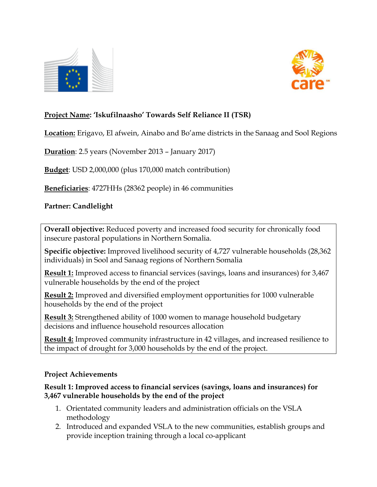



## **Project Name: 'Iskufilnaasho' Towards Self Reliance II (TSR)**

**Location:** Erigavo, El afwein, Ainabo and Bo'ame districts in the Sanaag and Sool Regions

**Duration**: 2.5 years (November 2013 – January 2017)

**Budget**: USD 2,000,000 (plus 170,000 match contribution)

**Beneficiaries**: 4727HHs (28362 people) in 46 communities

#### **Partner: Candlelight**

**Overall objective:** Reduced poverty and increased food security for chronically food insecure pastoral populations in Northern Somalia.

**Specific objective:** Improved livelihood security of 4,727 vulnerable households (28,362 individuals) in Sool and Sanaag regions of Northern Somalia

**Result 1:** Improved access to financial services (savings, loans and insurances) for 3,467 vulnerable households by the end of the project

**Result 2:** Improved and diversified employment opportunities for 1000 vulnerable households by the end of the project

**Result 3:** Strengthened ability of 1000 women to manage household budgetary decisions and influence household resources allocation

**Result 4:** Improved community infrastructure in 42 villages, and increased resilience to the impact of drought for 3,000 households by the end of the project.

#### **Project Achievements**

**Result 1: Improved access to financial services (savings, loans and insurances) for 3,467 vulnerable households by the end of the project**

- 1. Orientated community leaders and administration officials on the VSLA methodology
- 2. Introduced and expanded VSLA to the new communities, establish groups and provide inception training through a local co-applicant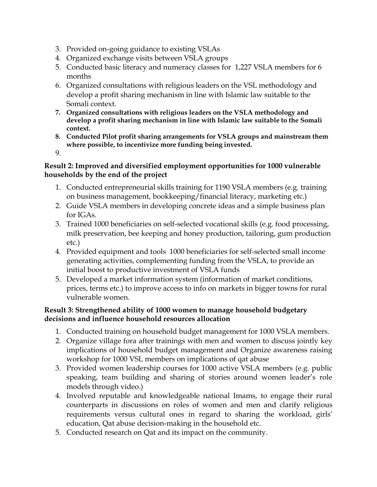- 3. Provided on-going guidance to existing VSLAs
- 4. Organized exchange visits between VSLA groups
- 5. Conducted basic literacy and numeracy classes for 1,227 VSLA members for 6 months
- 6. Organized consultations with religious leaders on the VSL methodology and develop a profit sharing mechanism in line with Islamic law suitable to the Somali context.
- **7. Organized consultations with religious leaders on the VSLA methodology and develop a profit sharing mechanism in line with Islamic law suitable to the Somali context.**
- **8. Conducted Pilot profit sharing arrangements for VSLA groups and mainstream them where possible, to incentivize more funding being invested.**

9.

#### **Result 2: Improved and diversified employment opportunities for 1000 vulnerable households by the end of the project**

- 1. Conducted entrepreneurial skills training for 1190 VSLA members (e.g. training on business management, bookkeeping/financial literacy, marketing etc.)
- 2. Guide VSLA members in developing concrete ideas and a simple business plan for IGAs.
- 3. Trained 1000 beneficiaries on self-selected vocational skills (e.g. food processing, milk preservation, bee keeping and honey production, tailoring, gum production etc.)
- 4. Provided equipment and tools 1000 beneficiaries for self-selected small income generating activities, complementing funding from the VSLA, to provide an initial boost to productive investment of VSLA funds
- 5. Developed a market information system (information of market conditions, prices, terms etc.) to improve access to info on markets in bigger towns for rural vulnerable women.

### **Result 3: Strengthened ability of 1000 women to manage household budgetary decisions and influence household resources allocation**

- 1. Conducted training on household budget management for 1000 VSLA members.
- 2. Organize village fora after trainings with men and women to discuss jointly key implications of household budget management and Organize awareness raising workshop for 1000 VSL members on implications of qat abuse
- 3. Provided women leadership courses for 1000 active VSLA members (e.g. public speaking, team building and sharing of stories around women leader's role models through video.)
- 4. Involved reputable and knowledgeable national Imams, to engage their rural counterparts in discussions on roles of women and men and clarify religious requirements versus cultural ones in regard to sharing the workload, girls' education, Qat abuse decision-making in the household etc.
- 5. Conducted research on Qat and its impact on the community.